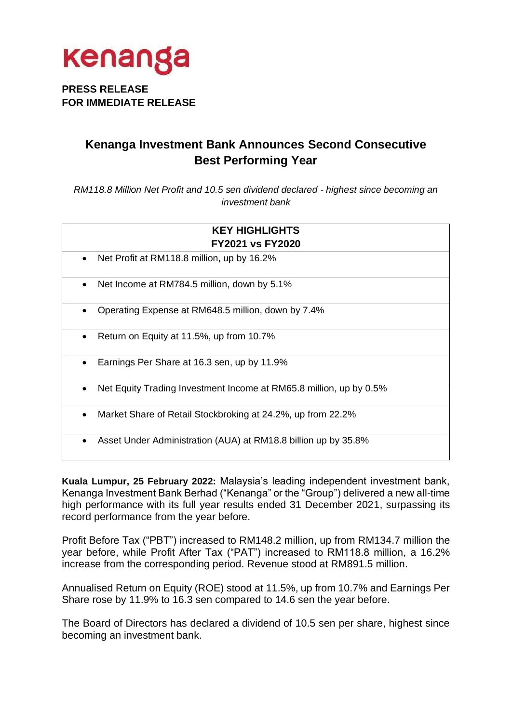

### **PRESS RELEASE FOR IMMEDIATE RELEASE**

### **Kenanga Investment Bank Announces Second Consecutive Best Performing Year**

*RM118.8 Million Net Profit and 10.5 sen dividend declared - highest since becoming an investment bank*

| <b>KEY HIGHLIGHTS</b>                                              |
|--------------------------------------------------------------------|
| <b>FY2021 vs FY2020</b>                                            |
| Net Profit at RM118.8 million, up by 16.2%                         |
| Net Income at RM784.5 million, down by 5.1%                        |
| Operating Expense at RM648.5 million, down by 7.4%                 |
| Return on Equity at 11.5%, up from 10.7%<br>$\bullet$              |
| Earnings Per Share at 16.3 sen, up by 11.9%<br>$\bullet$           |
| Net Equity Trading Investment Income at RM65.8 million, up by 0.5% |
| Market Share of Retail Stockbroking at 24.2%, up from 22.2%        |
| Asset Under Administration (AUA) at RM18.8 billion up by 35.8%     |

**Kuala Lumpur, 25 February 2022:** Malaysia's leading independent investment bank, Kenanga Investment Bank Berhad ("Kenanga" or the "Group") delivered a new all-time high performance with its full year results ended 31 December 2021, surpassing its record performance from the year before.

Profit Before Tax ("PBT") increased to RM148.2 million, up from RM134.7 million the year before, while Profit After Tax ("PAT") increased to RM118.8 million, a 16.2% increase from the corresponding period. Revenue stood at RM891.5 million.

Annualised Return on Equity (ROE) stood at 11.5%, up from 10.7% and Earnings Per Share rose by 11.9% to 16.3 sen compared to 14.6 sen the year before.

The Board of Directors has declared a dividend of 10.5 sen per share, highest since becoming an investment bank.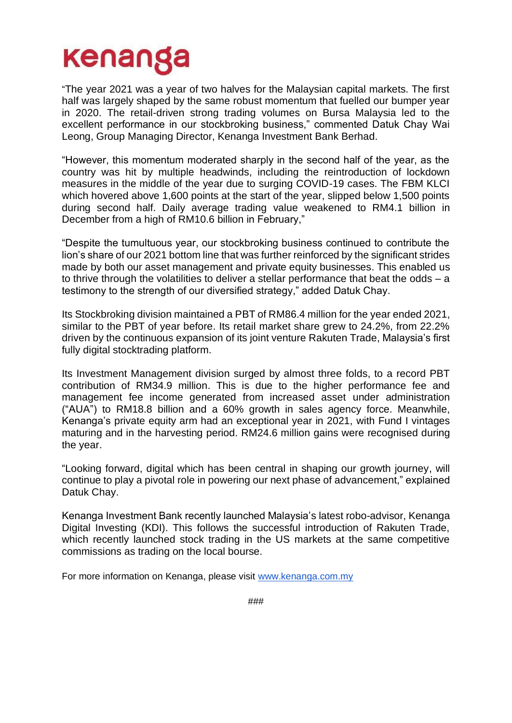# kenanga

"The year 2021 was a year of two halves for the Malaysian capital markets. The first half was largely shaped by the same robust momentum that fuelled our bumper year in 2020. The retail-driven strong trading volumes on Bursa Malaysia led to the excellent performance in our stockbroking business," commented Datuk Chay Wai Leong, Group Managing Director, Kenanga Investment Bank Berhad.

"However, this momentum moderated sharply in the second half of the year, as the country was hit by multiple headwinds, including the reintroduction of lockdown measures in the middle of the year due to surging COVID-19 cases. The FBM KLCI which hovered above 1,600 points at the start of the year, slipped below 1,500 points during second half. Daily average trading value weakened to RM4.1 billion in December from a high of RM10.6 billion in February,"

"Despite the tumultuous year, our stockbroking business continued to contribute the lion's share of our 2021 bottom line that was further reinforced by the significant strides made by both our asset management and private equity businesses. This enabled us to thrive through the volatilities to deliver a stellar performance that beat the odds – a testimony to the strength of our diversified strategy," added Datuk Chay.

Its Stockbroking division maintained a PBT of RM86.4 million for the year ended 2021, similar to the PBT of year before. Its retail market share grew to 24.2%, from 22.2% driven by the continuous expansion of its joint venture Rakuten Trade, Malaysia's first fully digital stocktrading platform.

Its Investment Management division surged by almost three folds, to a record PBT contribution of RM34.9 million. This is due to the higher performance fee and management fee income generated from increased asset under administration ("AUA") to RM18.8 billion and a 60% growth in sales agency force. Meanwhile, Kenanga's private equity arm had an exceptional year in 2021, with Fund I vintages maturing and in the harvesting period. RM24.6 million gains were recognised during the year.

"Looking forward, digital which has been central in shaping our growth journey, will continue to play a pivotal role in powering our next phase of advancement," explained Datuk Chay.

Kenanga Investment Bank recently launched Malaysia's latest robo-advisor, Kenanga Digital Investing (KDI). This follows the successful introduction of Rakuten Trade, which recently launched stock trading in the US markets at the same competitive commissions as trading on the local bourse.

For more information on Kenanga, please visit [www.kenanga.com.my](http://www.kenanga.com.my/)